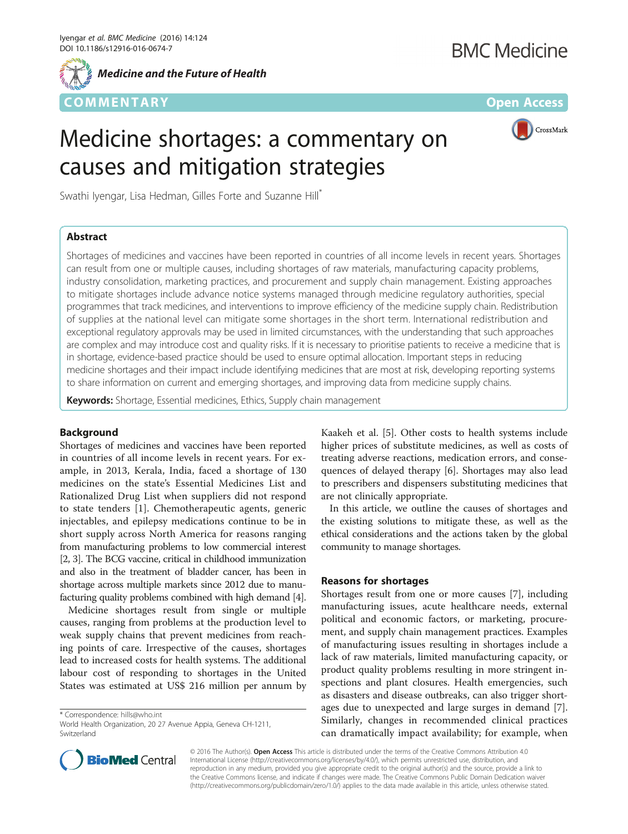

*Medicine and the Future of Health*

# COMM EN TARY Open Access



# Medicine shortages: a commentary on causes and mitigation strategies

Swathi Iyengar, Lisa Hedman, Gilles Forte and Suzanne Hill<sup>\*</sup>

## Abstract

Shortages of medicines and vaccines have been reported in countries of all income levels in recent years. Shortages can result from one or multiple causes, including shortages of raw materials, manufacturing capacity problems, industry consolidation, marketing practices, and procurement and supply chain management. Existing approaches to mitigate shortages include advance notice systems managed through medicine regulatory authorities, special programmes that track medicines, and interventions to improve efficiency of the medicine supply chain. Redistribution of supplies at the national level can mitigate some shortages in the short term. International redistribution and exceptional regulatory approvals may be used in limited circumstances, with the understanding that such approaches are complex and may introduce cost and quality risks. If it is necessary to prioritise patients to receive a medicine that is in shortage, evidence-based practice should be used to ensure optimal allocation. Important steps in reducing medicine shortages and their impact include identifying medicines that are most at risk, developing reporting systems to share information on current and emerging shortages, and improving data from medicine supply chains.

Keywords: Shortage, Essential medicines, Ethics, Supply chain management

## Background

Shortages of medicines and vaccines have been reported in countries of all income levels in recent years. For example, in 2013, Kerala, India, faced a shortage of 130 medicines on the state's Essential Medicines List and Rationalized Drug List when suppliers did not respond to state tenders [[1](#page-2-0)]. Chemotherapeutic agents, generic injectables, and epilepsy medications continue to be in short supply across North America for reasons ranging from manufacturing problems to low commercial interest [[2](#page-2-0), [3\]](#page-2-0). The BCG vaccine, critical in childhood immunization and also in the treatment of bladder cancer, has been in shortage across multiple markets since 2012 due to manufacturing quality problems combined with high demand [[4](#page-2-0)].

Medicine shortages result from single or multiple causes, ranging from problems at the production level to weak supply chains that prevent medicines from reaching points of care. Irrespective of the causes, shortages lead to increased costs for health systems. The additional labour cost of responding to shortages in the United States was estimated at US\$ 216 million per annum by

\* Correspondence: [hills@who.int](mailto:hills@who.int)

Kaakeh et al. [[5\]](#page-2-0). Other costs to health systems include higher prices of substitute medicines, as well as costs of treating adverse reactions, medication errors, and consequences of delayed therapy [[6\]](#page-2-0). Shortages may also lead to prescribers and dispensers substituting medicines that are not clinically appropriate.

In this article, we outline the causes of shortages and the existing solutions to mitigate these, as well as the ethical considerations and the actions taken by the global community to manage shortages.

## Reasons for shortages

Shortages result from one or more causes [[7\]](#page-2-0), including manufacturing issues, acute healthcare needs, external political and economic factors, or marketing, procurement, and supply chain management practices. Examples of manufacturing issues resulting in shortages include a lack of raw materials, limited manufacturing capacity, or product quality problems resulting in more stringent inspections and plant closures. Health emergencies, such as disasters and disease outbreaks, can also trigger shortages due to unexpected and large surges in demand [\[7](#page-2-0)]. Similarly, changes in recommended clinical practices can dramatically impact availability; for example, when



© 2016 The Author(s). Open Access This article is distributed under the terms of the Creative Commons Attribution 4.0 International License [\(http://creativecommons.org/licenses/by/4.0/](http://creativecommons.org/licenses/by/4.0/)), which permits unrestricted use, distribution, and reproduction in any medium, provided you give appropriate credit to the original author(s) and the source, provide a link to the Creative Commons license, and indicate if changes were made. The Creative Commons Public Domain Dedication waiver [\(http://creativecommons.org/publicdomain/zero/1.0/](http://creativecommons.org/publicdomain/zero/1.0/)) applies to the data made available in this article, unless otherwise stated.

World Health Organization, 20 27 Avenue Appia, Geneva CH-1211, **Switzerland**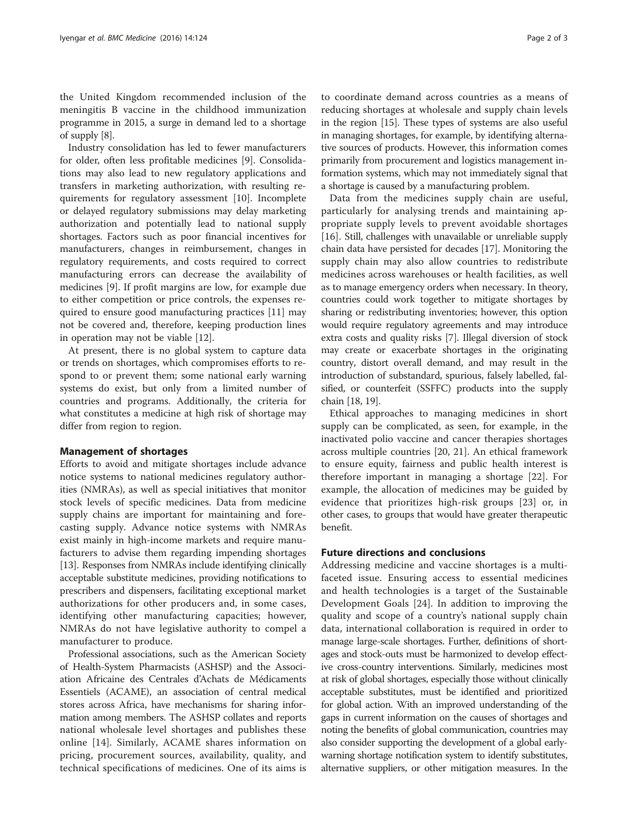the United Kingdom recommended inclusion of the meningitis B vaccine in the childhood immunization programme in 2015, a surge in demand led to a shortage of supply [[8\]](#page-2-0).

Industry consolidation has led to fewer manufacturers for older, often less profitable medicines [\[9](#page-2-0)]. Consolidations may also lead to new regulatory applications and transfers in marketing authorization, with resulting requirements for regulatory assessment [\[10](#page-2-0)]. Incomplete or delayed regulatory submissions may delay marketing authorization and potentially lead to national supply shortages. Factors such as poor financial incentives for manufacturers, changes in reimbursement, changes in regulatory requirements, and costs required to correct manufacturing errors can decrease the availability of medicines [[9\]](#page-2-0). If profit margins are low, for example due to either competition or price controls, the expenses required to ensure good manufacturing practices [\[11](#page-2-0)] may not be covered and, therefore, keeping production lines in operation may not be viable [\[12](#page-2-0)].

At present, there is no global system to capture data or trends on shortages, which compromises efforts to respond to or prevent them; some national early warning systems do exist, but only from a limited number of countries and programs. Additionally, the criteria for what constitutes a medicine at high risk of shortage may differ from region to region.

### Management of shortages

Efforts to avoid and mitigate shortages include advance notice systems to national medicines regulatory authorities (NMRAs), as well as special initiatives that monitor stock levels of specific medicines. Data from medicine supply chains are important for maintaining and forecasting supply. Advance notice systems with NMRAs exist mainly in high-income markets and require manufacturers to advise them regarding impending shortages [[13\]](#page-2-0). Responses from NMRAs include identifying clinically acceptable substitute medicines, providing notifications to prescribers and dispensers, facilitating exceptional market authorizations for other producers and, in some cases, identifying other manufacturing capacities; however, NMRAs do not have legislative authority to compel a manufacturer to produce.

Professional associations, such as the American Society of Health-System Pharmacists (ASHSP) and the Association Africaine des Centrales d'Achats de Médicaments Essentiels (ACAME), an association of central medical stores across Africa, have mechanisms for sharing information among members. The ASHSP collates and reports national wholesale level shortages and publishes these online [[14\]](#page-2-0). Similarly, ACAME shares information on pricing, procurement sources, availability, quality, and technical specifications of medicines. One of its aims is

to coordinate demand across countries as a means of reducing shortages at wholesale and supply chain levels in the region [\[15\]](#page-2-0). These types of systems are also useful in managing shortages, for example, by identifying alternative sources of products. However, this information comes primarily from procurement and logistics management information systems, which may not immediately signal that a shortage is caused by a manufacturing problem.

Data from the medicines supply chain are useful, particularly for analysing trends and maintaining appropriate supply levels to prevent avoidable shortages [[16](#page-2-0)]. Still, challenges with unavailable or unreliable supply chain data have persisted for decades [\[17](#page-2-0)]. Monitoring the supply chain may also allow countries to redistribute medicines across warehouses or health facilities, as well as to manage emergency orders when necessary. In theory, countries could work together to mitigate shortages by sharing or redistributing inventories; however, this option would require regulatory agreements and may introduce extra costs and quality risks [\[7](#page-2-0)]. Illegal diversion of stock may create or exacerbate shortages in the originating country, distort overall demand, and may result in the introduction of substandard, spurious, falsely labelled, falsified, or counterfeit (SSFFC) products into the supply chain [\[18, 19\]](#page-2-0).

Ethical approaches to managing medicines in short supply can be complicated, as seen, for example, in the inactivated polio vaccine and cancer therapies shortages across multiple countries [[20, 21](#page-2-0)]. An ethical framework to ensure equity, fairness and public health interest is therefore important in managing a shortage [\[22](#page-2-0)]. For example, the allocation of medicines may be guided by evidence that prioritizes high-risk groups [[23\]](#page-2-0) or, in other cases, to groups that would have greater therapeutic benefit.

## Future directions and conclusions

Addressing medicine and vaccine shortages is a multifaceted issue. Ensuring access to essential medicines and health technologies is a target of the Sustainable Development Goals [\[24](#page-2-0)]. In addition to improving the quality and scope of a country's national supply chain data, international collaboration is required in order to manage large-scale shortages. Further, definitions of shortages and stock-outs must be harmonized to develop effective cross-country interventions. Similarly, medicines most at risk of global shortages, especially those without clinically acceptable substitutes, must be identified and prioritized for global action. With an improved understanding of the gaps in current information on the causes of shortages and noting the benefits of global communication, countries may also consider supporting the development of a global earlywarning shortage notification system to identify substitutes, alternative suppliers, or other mitigation measures. In the